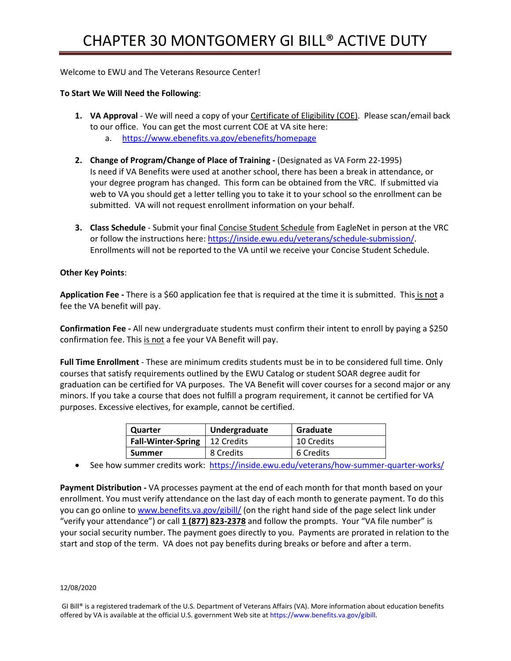# Welcome to EWU and The Veterans Resource Center!

# **To Start We Will Need the Following**:

- **1. VA Approval**  We will need a copy of your Certificate of Eligibility (COE). Please scan/email back to our office. You can get the most current COE at VA site here: a. <https://www.ebenefits.va.gov/ebenefits/homepage>
- **2. Change of Program/Change of Place of Training -** (Designated as VA Form 22-1995) Is need if VA Benefits were used at another school, there has been a break in attendance, or your degree program has changed. This form can be obtained from the VRC. If submitted via web to VA you should get a letter telling you to take it to your school so the enrollment can be submitted. VA will not request enrollment information on your behalf.
- **3. Class Schedule**  Submit your final Concise Student Schedule from EagleNet in person at the VRC or follow the instructions here: [https://inside.ewu.edu/veterans/schedule-submission/.](https://inside.ewu.edu/veterans/schedule-submission/) Enrollments will not be reported to the VA until we receive your Concise Student Schedule.

## **Other Key Points**:

**Application Fee -** There is a \$60 application fee that is required at the time it is submitted. This is not a fee the VA benefit will pay.

**Confirmation Fee -** All new undergraduate students must confirm their intent to enroll by paying a \$250 confirmation fee. This is not a fee your VA Benefit will pay.

**Full Time Enrollment** - These are minimum credits students must be in to be considered full time. Only courses that satisfy requirements outlined by the EWU Catalog or student SOAR degree audit for graduation can be certified for VA purposes. The VA Benefit will cover courses for a second major or any minors. If you take a course that does not fulfill a program requirement, it cannot be certified for VA purposes. Excessive electives, for example, cannot be certified.

| Quarter                   | Undergraduate | Graduate   |
|---------------------------|---------------|------------|
| <b>Fall-Winter-Spring</b> | 12 Credits    | 10 Credits |
| <b>Summer</b>             | 8 Credits     | 6 Credits  |

• See how summer credits work: <https://inside.ewu.edu/veterans/how-summer-quarter-works/>

**Payment Distribution -** VA processes payment at the end of each month for that month based on your enrollment. You must verify attendance on the last day of each month to generate payment. To do this you can go online to [www.benefits.va.gov/gibill/](http://www.benefits.va.gov/gibill/) (on the right hand side of the page select link under "verify your attendance") or call **1 (877) 823-2378** and follow the prompts. Your "VA file number" is your social security number. The payment goes directly to you. Payments are prorated in relation to the start and stop of the term. VA does not pay benefits during breaks or before and after a term.

### 12/08/2020

GI Bill® is a registered trademark of the U.S. Department of Veterans Affairs (VA). More information about education benefits offered by VA is available at the official U.S. government Web site at https://www.benefits.va.gov/gibill.